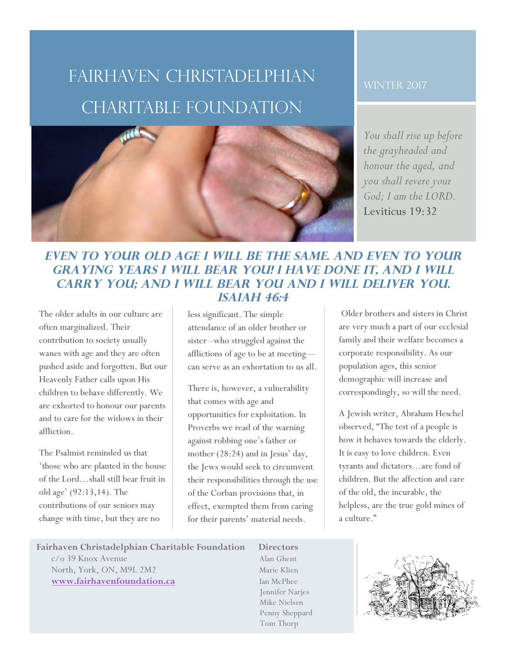# Fairhaven Christadelphian charitable Foundation

#### WINTER 2017

*You shall rise up before the grayheaded and honour the aged, and you shall revere your God; I am the LORD.* Leviticus 19:32

## **Even to your old age I will be the same. And even to your graying years I will bear you! I have done it, and I will carry you; and I will bear you and I will deliver you. Isaiah 46:4**

The older adults in our culture are often marginalized. Their contribution to society usually wanes with age and they are often pushed aside and forgotten. But our Heavenly Father calls upon His children to behave differently. We are exhorted to honour our parents and to care for the widows in their affliction.

1

3

2

The Psalmist reminded us that 'those who are planted in the house of the Lord…shall still bear fruit in old age' (92:13,14). The contributions of our seniors may change with time, but they are no

less significant. The simple attendance of an older brother or sister –who struggled against the afflictions of age to be at meeting can serve as an exhortation to us all.

There is, however, a vulnerability that comes with age and opportunities for exploitation. In Proverbs we read of the warning against robbing one's father or mother (28:24) and in Jesus' day, the Jews would seek to circumvent their responsibilities through the use of the Corban provisions that, in effect, exempted them from caring for their parents' material needs.

Older brothers and sisters in Christ are very much a part of our ecclesial family and their welfare becomes a corporate responsibility. As our population ages, this senior demographic will increase and correspondingly, so will the need.

A Jewish writer, Abraham Heschel observed, "The test of a people is how it behaves towards the elderly. It is easy to love children. Even tyrants and dictators…are fond of children. But the affection and care of the old, the incurable, the helpless, are the true gold mines of a culture."

### **Fairhaven Christadelphian Charitable Foundation Directors**

c/o 39 Knox Avenue Alan Ghent North, York, ON, M9L 2M2 Marie Klien **www.fairhavenfoundation.ca** Ian McPhee

 Jennifer Narjes Mike Nielsen Penny Sheppard Tom Thorp

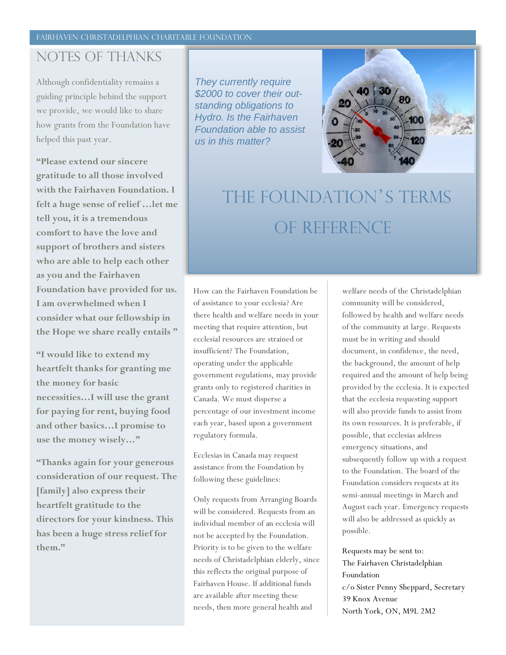#### FAIRHAVEN CHRISTADELPHIAN CHARITABLE FOUNDATION

## Notes of thanks

Although confidentiality remains a guiding principle behind the support we provide, we would like to share how grants from the Foundation have helped this past year.

**"Please extend our sincere gratitude to all those involved with the Fairhaven Foundation. I felt a huge sense of relief …let me tell you, it is a tremendous comfort to have the love and support of brothers and sisters who are able to help each other as you and the Fairhaven Foundation have provided for us. I am overwhelmed when I consider what our fellowship in the Hope we share really entails "**

**"I would like to extend my heartfelt thanks for granting me the money for basic necessities…I will use the grant for paying for rent, buying food and other basics…I promise to use the money wisely…"**

**"Thanks again for your generous consideration of our request. The [family] also express their heartfelt gratitude to the directors for your kindness. This has been a huge stress relief for them."**

*They currently require \$2000 to cover their outstanding obligations to Hydro. Is the Fairhaven Foundation able to assist us in this matter?* 



# The Foundation's terms OF reference

How can the Fairhaven Foundation be of assistance to your ecclesia? Are there health and welfare needs in your meeting that require attention, but ecclesial resources are strained or insufficient? The Foundation, operating under the applicable government regulations, may provide grants only to registered charities in Canada. We must disperse a percentage of our investment income each year, based upon a government regulatory formula.

Ecclesias in Canada may request assistance from the Foundation by following these guidelines:

Only requests from Arranging Boards will be considered. Requests from an individual member of an ecclesia will not be accepted by the Foundation. Priority is to be given to the welfare needs of Christadelphian elderly, since this reflects the original purpose of Fairhaven House. If additional funds are available after meeting these needs, then more general health and

welfare needs of the Christadelphian community will be considered, followed by health and welfare needs of the community at large. Requests must be in writing and should document, in confidence, the need, the background, the amount of help required and the amount of help being provided by the ecclesia. It is expected that the ecclesia requesting support will also provide funds to assist from its own resources. It is preferable, if possible, that ecclesias address emergency situations, and subsequently follow up with a request to the Foundation. The board of the Foundation considers requests at its semi-annual meetings in March and August each year. Emergency requests will also be addressed as quickly as possible.

Requests may be sent to: The Fairhaven Christadelphian Foundation c/o Sister Penny Sheppard, Secretary 39 Knox Avenue North York, ON, M9L 2M2